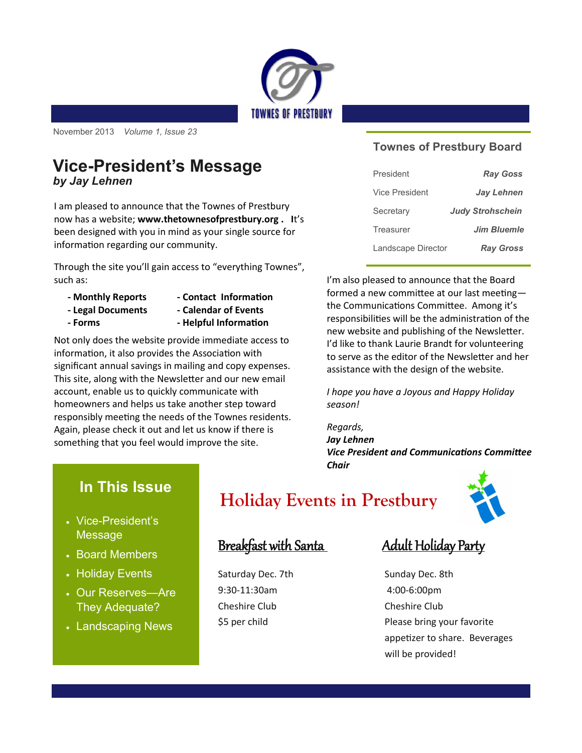

November 2013 *Volume 1, Issue 23* 

### **Vice-President's Message** *by Jay Lehnen*

I am pleased to announce that the Townes of Prestbury now has a website; **www.thetownesofprestbury.org . I**t's been designed with you in mind as your single source for information regarding our community.

Through the site you'll gain access to "everything Townes", such as:

- **- Monthly Reports - Contact Information**
- **- Legal Documents - Calendar of Events**
- 
- **- Forms - Helpful Information**

Not only does the website provide immediate access to information, it also provides the Association with significant annual savings in mailing and copy expenses. This site, along with the Newsletter and our new email account, enable us to quickly communicate with homeowners and helps us take another step toward responsibly meeting the needs of the Townes residents. Again, please check it out and let us know if there is something that you feel would improve the site.

#### **Townes of Prestbury Board**

| President          | <b>Ray Goss</b>         |
|--------------------|-------------------------|
| Vice President     | <b>Jay Lehnen</b>       |
| Secretary          | <b>Judy Strohschein</b> |
| Treasurer          | <b>Jim Bluemle</b>      |
| Landscape Director | <b>Ray Gross</b>        |

I'm also pleased to announce that the Board formed a new committee at our last meeting the Communications Committee. Among it's responsibilities will be the administration of the new website and publishing of the Newsletter. I'd like to thank Laurie Brandt for volunteering to serve as the editor of the Newsletter and her assistance with the design of the website.

*I hope you have a Joyous and Happy Holiday season!*

*Regards, Jay Lehnen Vice President and Communications Committee Chair*

# **In This Issue**

- Vice-President's Message
- Board Members
- Holiday Events
- Our Reserves—Are They Adequate?
- Landscaping News

# **Holiday Events in Prestbury**



## Breakfast with Santa Adult Holiday Party

Saturday Dec. 7th Sunday Dec. 8th 9:30-11:30am 4:00-6:00pm Cheshire Club Cheshire Club

\$5 per child Please bring your favorite appetizer to share. Beverages will be provided!